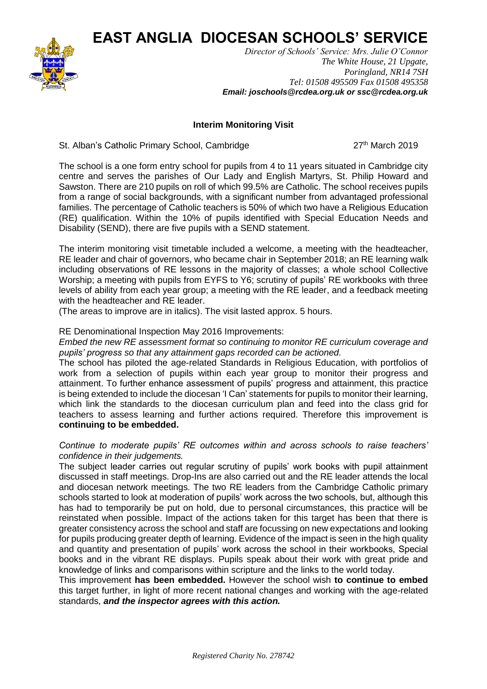**EAST ANGLIA DIOCESAN SCHOOLS' SERVICE**



*Director of Schools' Service: Mrs. Julie O'Connor The White House, 21 Upgate, Poringland, NR14 7SH Tel: 01508 495509 Fax 01508 495358 Email: joschools@rcdea.org.uk or ssc@rcdea.org.uk*

## **Interim Monitoring Visit**

St. Alban's Catholic Primary School, Cambridge 27<sup>th</sup> March 2019

The school is a one form entry school for pupils from 4 to 11 years situated in Cambridge city centre and serves the parishes of Our Lady and English Martyrs, St. Philip Howard and Sawston. There are 210 pupils on roll of which 99.5% are Catholic. The school receives pupils from a range of social backgrounds, with a significant number from advantaged professional families. The percentage of Catholic teachers is 50% of which two have a Religious Education (RE) qualification. Within the 10% of pupils identified with Special Education Needs and Disability (SEND), there are five pupils with a SEND statement.

The interim monitoring visit timetable included a welcome, a meeting with the headteacher, RE leader and chair of governors, who became chair in September 2018; an RE learning walk including observations of RE lessons in the majority of classes; a whole school Collective Worship; a meeting with pupils from EYFS to Y6; scrutiny of pupils' RE workbooks with three levels of ability from each year group; a meeting with the RE leader, and a feedback meeting with the headteacher and RE leader.

(The areas to improve are in italics). The visit lasted approx. 5 hours.

## RE Denominational Inspection May 2016 Improvements:

*Embed the new RE assessment format so continuing to monitor RE curriculum coverage and pupils' progress so that any attainment gaps recorded can be actioned.*

The school has piloted the age-related Standards in Religious Education, with portfolios of work from a selection of pupils within each year group to monitor their progress and attainment. To further enhance assessment of pupils' progress and attainment, this practice is being extended to include the diocesan 'I Can' statements for pupils to monitor their learning, which link the standards to the diocesan curriculum plan and feed into the class grid for teachers to assess learning and further actions required. Therefore this improvement is **continuing to be embedded.**

## *Continue to moderate pupils' RE outcomes within and across schools to raise teachers' confidence in their judgements.*

The subject leader carries out regular scrutiny of pupils' work books with pupil attainment discussed in staff meetings. Drop-Ins are also carried out and the RE leader attends the local and diocesan network meetings. The two RE leaders from the Cambridge Catholic primary schools started to look at moderation of pupils' work across the two schools, but, although this has had to temporarily be put on hold, due to personal circumstances, this practice will be reinstated when possible. Impact of the actions taken for this target has been that there is greater consistency across the school and staff are focussing on new expectations and looking for pupils producing greater depth of learning. Evidence of the impact is seen in the high quality and quantity and presentation of pupils' work across the school in their workbooks, Special books and in the vibrant RE displays. Pupils speak about their work with great pride and knowledge of links and comparisons within scripture and the links to the world today.

This improvement **has been embedded.** However the school wish **to continue to embed** this target further, in light of more recent national changes and working with the age-related standards, *and the inspector agrees with this action.*